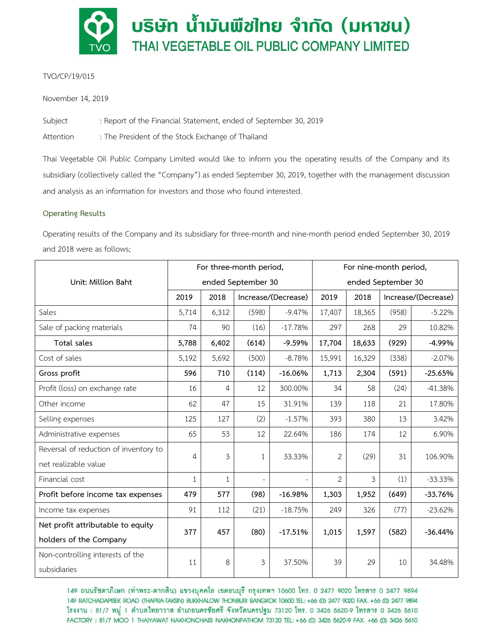

# TVO/CP/19/015

November 14, 2019

Subject : Report of the Financial Statement, ended of September 30, 2019

Attention : The President of the Stock Exchange of Thailand

Thai Vegetable Oil Public Company Limited would like to inform you the operating results of the Company and its subsidiary (collectively called the "Company") as ended September 30, 2019, together with the management discussion and analysis as an information for investors and those who found interested.

# **Operating Results**

Operating results of the Company and its subsidiary for three-month and nine-month period ended September 30, 2019 and 2018 were as follows;

|                                       | For three-month period, |              |                     |           | For nine-month period, |        |                     |           |
|---------------------------------------|-------------------------|--------------|---------------------|-----------|------------------------|--------|---------------------|-----------|
| Unit: Million Baht                    | ended September 30      |              |                     |           | ended September 30     |        |                     |           |
|                                       | 2019                    | 2018         | Increase/(Decrease) |           | 2019                   | 2018   | Increase/(Decrease) |           |
| Sales                                 | 5,714                   | 6,312        | (598)               | $-9.47%$  | 17,407                 | 18,365 | (958)               | $-5.22%$  |
| Sale of packing materials             | 74                      | 90           | (16)                | $-17.78%$ | 297                    | 268    | 29                  | 10.82%    |
| Total sales                           | 5,788                   | 6,402        | (614)               | $-9.59%$  | 17,704                 | 18,633 | (929)               | $-4.99%$  |
| Cost of sales                         | 5,192                   | 5,692        | (500)               | $-8.78%$  | 15,991                 | 16,329 | (338)               | $-2.07%$  |
| Gross profit                          | 596                     | 710          | (114)               | $-16.06%$ | 1,713                  | 2,304  | (591)               | $-25.65%$ |
| Profit (loss) on exchange rate        | 16                      | 4            | 12                  | 300.00%   | 34                     | 58     | (24)                | $-41.38%$ |
| Other income                          | 62                      | 47           | 15                  | 31.91%    | 139                    | 118    | 21                  | 17.80%    |
| Selling expenses                      | 125                     | 127          | (2)                 | $-1.57%$  | 393                    | 380    | 13                  | 3.42%     |
| Administrative expenses               | 65                      | 53           | 12                  | 22.64%    | 186                    | 174    | 12                  | 6.90%     |
| Reversal of reduction of inventory to | 4                       | 3            | $\mathbf{1}$        | 33.33%    | 2                      | (29)   | 31                  | 106.90%   |
| net realizable value                  |                         |              |                     |           |                        |        |                     |           |
| Financial cost                        | $\mathbf{1}$            | $\mathbf{1}$ |                     |           | $\overline{2}$         | 3      | (1)                 | $-33.33%$ |
| Profit before income tax expenses     | 479                     | 577          | (98)                | $-16.98%$ | 1,303                  | 1,952  | (649)               | $-33.76%$ |
| Income tax expenses                   | 91                      | 112          | (21)                | $-18.75%$ | 249                    | 326    | (77)                | $-23.62%$ |
| Net profit attributable to equity     | 377                     | 457          | (80)                | $-17.51%$ | 1,015                  | 1,597  | (582)               | $-36.44%$ |
| holders of the Company                |                         |              |                     |           |                        |        |                     |           |
| Non-controlling interests of the      | 11                      | 8            | 3                   | 37.50%    | 39                     | 29     | 10                  | 34.48%    |
| subsidiaries                          |                         |              |                     |           |                        |        |                     |           |

149 ถนนรัชดาภิเษก (ท่าพระ-ตากสิน) แขวงบุคคโล เขตธนบุรี กรุงเทพฯ 10600 โทร. 0 2477 9020 โทรสาร 0 2477 9894 149 RATCHADAPISEK ROAD (THAPRA-TAKSIN) BUKKHALOW THONBURI BANGKOK 10600 TEL: +66 (0) 2477 9020 FAX. +66 (0) 2477 9894 โรงงาน : 81/7 หมู่ 1 ตำบลไทยาวาส อำเภอนครชัยศรี จังหวัดนครปฐม 73120 โทร. 0 3426 5620-9 โทรสาร 0 3426 5610 FACTORY: 81/7 MOO 1 THAIYAWAT NAKHONCHAISI NAKHONPATHOM 73120 TEL: +66 (0) 3426 5620-9 FAX. +66 (0) 3426 5610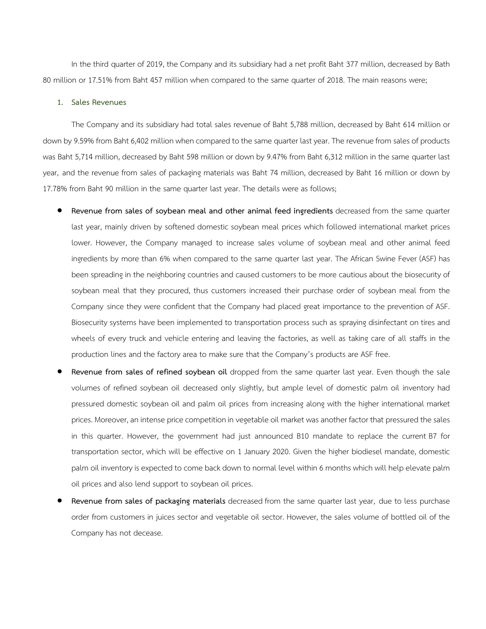In the third quarter of 2019, the Company and its subsidiary had a net profit Baht 377 million, decreased by Bath 80 million or 17.51% from Baht 457 million when compared to the same quarter of 2018. The main reasons were;

## **1. Sales Revenues**

The Company and its subsidiary had total sales revenue of Baht 5,788 million, decreased by Baht 614 million or down by 9.59% from Baht 6,402 million when compared to the same quarter last year. The revenue from sales of products was Baht 5,714 million, decreased by Baht 598 million or down by 9.47% from Baht 6,312 million in the same quarter last year, and the revenue from sales of packaging materials was Baht 74 million, decreased by Baht 16 million or down by 17.78% from Baht 90 million in the same quarter last year. The details were as follows;

- **Revenue from sales of soybean meal and other animal feed ingredients** decreased from the same quarter last year, mainly driven by softened domestic soybean meal prices which followed international market prices lower. However, the Company managed to increase sales volume of soybean meal and other animal feed ingredients by more than 6% when compared to the same quarter last year. The African Swine Fever (ASF) has been spreading in the neighboring countries and caused customers to be more cautious about the biosecurity of soybean meal that they procured, thus customers increased their purchase order of soybean meal from the Company since they were confident that the Company had placed great importance to the prevention of ASF. Biosecurity systems have been implemented to transportation process such as spraying disinfectant on tires and wheels of every truck and vehicle entering and leaving the factories, as well as taking care of all staffs in the production lines and the factory area to make sure that the Company's products are ASF free.
- **Revenue from sales of refined soybean oil** dropped from the same quarter last year. Even though the sale volumes of refined soybean oil decreased only slightly, but ample level of domestic palm oil inventory had pressured domestic soybean oil and palm oil prices from increasing along with the higher international market prices. Moreover, an intense price competition in vegetable oil market was another factor that pressured the sales in this quarter. However, the government had just announced B10 mandate to replace the current B7 for transportation sector, which will be effective on 1 January 2020. Given the higher biodiesel mandate, domestic palm oil inventory is expected to come back down to normal level within 6 months which will help elevate palm oil prices and also lend support to soybean oil prices.
- **Revenue from sales of packaging materials** decreased from the same quarter last year, due to less purchase order from customers in juices sector and vegetable oil sector. However, the sales volume of bottled oil of the Company has not decease.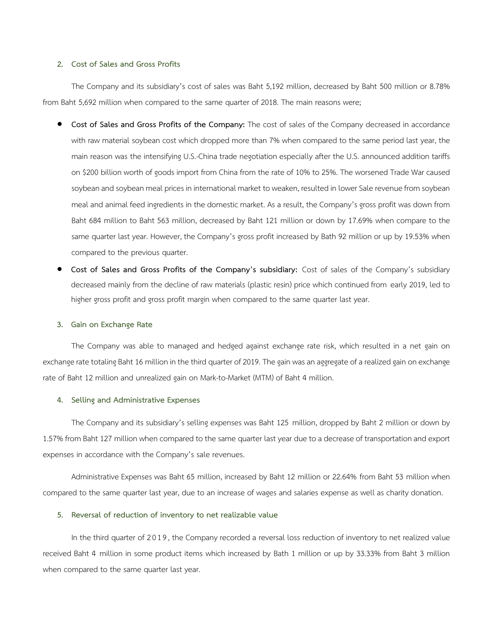### **2. Cost of Sales and Gross Profits**

The Company and its subsidiary's cost of sales was Baht 5,192 million, decreased by Baht 500 million or 8.78% from Baht 5,692 million when compared to the same quarter of 2018. The main reasons were;

- **Cost of Sales and Gross Profits of the Company:** The cost of sales of the Company decreased in accordance with raw material soybean cost which dropped more than 7% when compared to the same period last year, the main reason was the intensifying U.S.-China trade negotiation especially after the U.S. announced addition tariffs on \$200 billion worth of goods import from China from the rate of 10% to 25%. The worsened Trade War caused soybean and soybean meal prices in international market to weaken, resulted in lower Sale revenue from soybean meal and animal feed ingredients in the domestic market. As a result, the Company's gross profit was down from Baht 684 million to Baht 563 million, decreased by Baht 121 million or down by 17.69% when compare to the same quarter last year. However, the Company's gross profit increased by Bath 92 million or up by 19.53% when compared to the previous quarter.
- **Cost of Sales and Gross Profits of the Company's subsidiary:** Cost of sales of the Company's subsidiary decreased mainly from the decline of raw materials (plastic resin) price which continued from early 2019, led to higher gross profit and gross profit margin when compared to the same quarter last year.

#### **3. Gain on Exchange Rate**

The Company was able to managed and hedged against exchange rate risk, which resulted in a net gain on exchange rate totaling Baht 16 million in the third quarter of 2019. The gain was an aggregate of a realized gain on exchange rate of Baht 12 million and unrealized gain on Mark-to-Market (MTM) of Baht 4 million.

### **4. Selling and Administrative Expenses**

The Company and its subsidiary's selling expenses was Baht 125 million, dropped by Baht 2 million or down by 1.57% from Baht 127 million when compared to the same quarter last year due to a decrease of transportation and export expenses in accordance with the Company's sale revenues.

Administrative Expenses was Baht 65 million, increased by Baht 12 million or 22.64% from Baht 53 million when compared to the same quarter last year, due to an increase of wages and salaries expense as well as charity donation.

## **5. Reversal of reduction of inventory to net realizable value**

In the third quarter of 2019, the Company recorded a reversal loss reduction of inventory to net realized value received Baht 4 million in some product items which increased by Bath 1 million or up by 33.33% from Baht 3 million when compared to the same quarter last year.